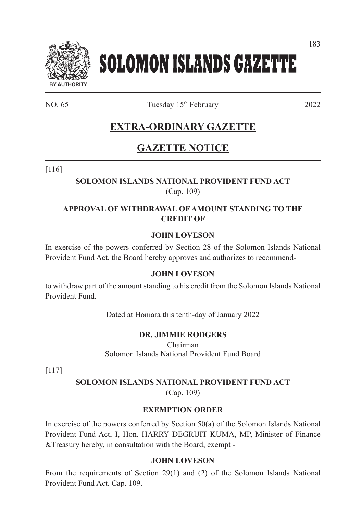

# **SOLOMON ISLANDS GAZETTE**

NO. 65 Tuesday 15<sup>th</sup> February 2022

# **EXTRA-ORDINARY GAZETTE**

# **GAZETTE NOTICE**

[116]

# **SOLOMON ISLANDS NATIONAL PROVIDENT FUND ACT** (Cap. 109)

### **APPROVAL OF WITHDRAWAL OF AMOUNT STANDING TO THE CREDIT OF**

#### **JOHN LOVESON**

In exercise of the powers conferred by Section 28 of the Solomon Islands National Provident Fund Act, the Board hereby approves and authorizes to recommend-

#### **JOHN LOVESON**

to withdraw part of the amount standing to his credit from the Solomon Islands National Provident Fund.

Dated at Honiara this tenth-day of January 2022

# **DR. JIMMIE RODGERS**

Chairman Solomon Islands National Provident Fund Board

[117]

#### **SOLOMON ISLANDS NATIONAL PROVIDENT FUND ACT**

(Cap. 109)

#### **EXEMPTION ORDER**

In exercise of the powers conferred by Section  $50(a)$  of the Solomon Islands National Provident Fund Act, I, Hon. HARRY DEGRUIT KUMA, MP, Minister of Finance &Treasury hereby, in consultation with the Board, exempt -

#### **JOHN LOVESON**

From the requirements of Section 29(1) and (2) of the Solomon Islands National Provident Fund Act. Cap. 109.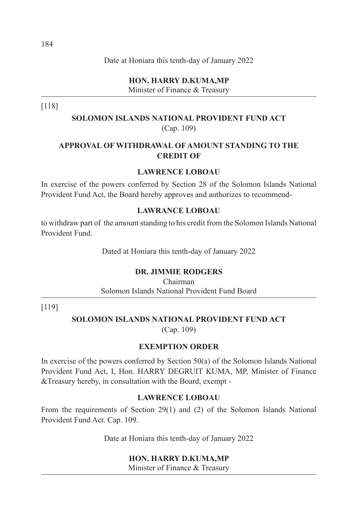**HON. HARRY D.KUMA,MP** Minister of Finance & Treasury

[118]

**SOLOMON ISLANDS NATIONAL PROVIDENT FUND ACT** (Cap. 109)

# **APPROVAL OF WITHDRAWAL OF AMOUNT STANDING TO THE CREDIT OF**

#### **LAWRENCE LOBOAU**

In exercise of the powers conferred by Section 28 of the Solomon Islands National Provident Fund Act, the Board hereby approves and authorizes to recommend-

#### **LAWRANCE LOBOAU**

to withdraw part of the amount standing to his credit from the Solomon Islands National Provident Fund.

Dated at Honiara this tenth-day of January 2022

#### **DR. JIMMIE RODGERS**

Chairman Solomon Islands National Provident Fund Board

[119]

#### **SOLOMON ISLANDS NATIONAL PROVIDENT FUND ACT** (Cap. 109)

# **EXEMPTION ORDER**

In exercise of the powers conferred by Section 50(a) of the Solomon Islands National Provident Fund Act, I, Hon. HARRY DEGRUIT KUMA, MP, Minister of Finance &Treasury hereby, in consultation with the Board, exempt -

#### **LAWRENCE LOBOAU**

From the requirements of Section 29(1) and (2) of the Solomon Islands National Provident Fund Act. Cap. 109.

Date at Honiara this tenth-day of January 2022

#### **HON. HARRY D.KUMA,MP**

Minister of Finance & Treasury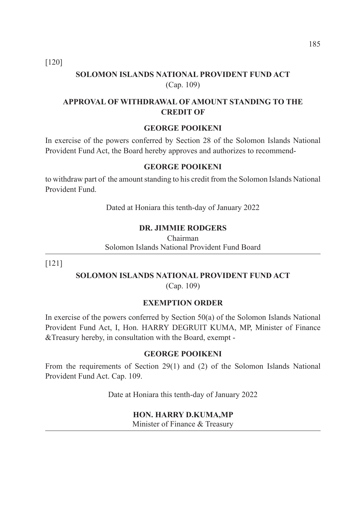[120]

# **SOLOMON ISLANDS NATIONAL PROVIDENT FUND ACT** (Cap. 109)

#### **APPROVAL OF WITHDRAWAL OF AMOUNT STANDING TO THE CREDIT OF**

#### **GEORGE POOIKENI**

In exercise of the powers conferred by Section 28 of the Solomon Islands National Provident Fund Act, the Board hereby approves and authorizes to recommend-

#### **GEORGE POOIKENI**

to withdraw part of the amount standing to his credit from the Solomon Islands National Provident Fund.

Dated at Honiara this tenth-day of January 2022

#### **DR. JIMMIE RODGERS**

Chairman Solomon Islands National Provident Fund Board

[121]

# **SOLOMON ISLANDS NATIONAL PROVIDENT FUND ACT**

(Cap. 109)

#### **EXEMPTION ORDER**

In exercise of the powers conferred by Section 50(a) of the Solomon Islands National Provident Fund Act, I, Hon. HARRY DEGRUIT KUMA, MP, Minister of Finance &Treasury hereby, in consultation with the Board, exempt -

#### **GEORGE POOIKENI**

From the requirements of Section 29(1) and (2) of the Solomon Islands National Provident Fund Act. Cap. 109.

Date at Honiara this tenth-day of January 2022

#### **HON. HARRY D.KUMA,MP**

Minister of Finance & Treasury

185